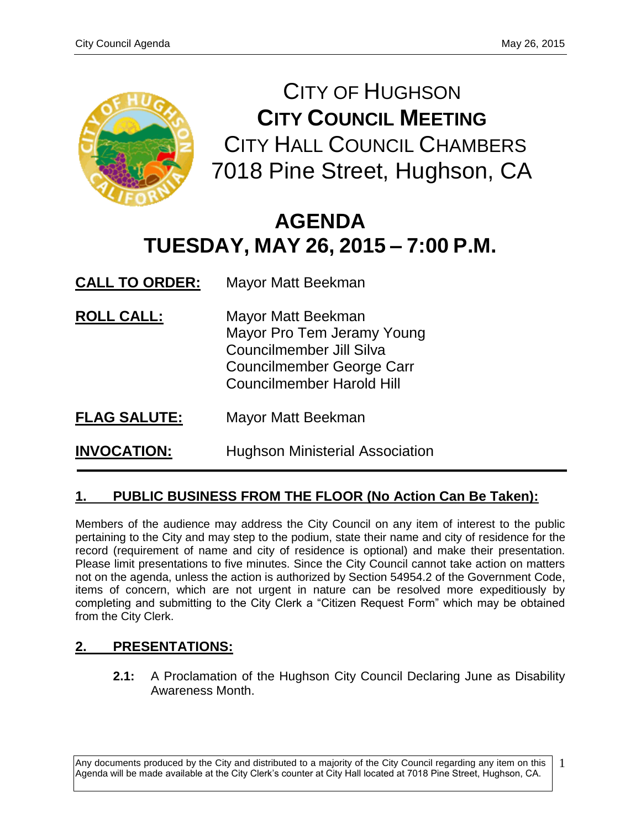

CITY OF HUGHSON **CITY COUNCIL MEETING** CITY HALL COUNCIL CHAMBERS 7018 Pine Street, Hughson, CA

# **AGENDA TUESDAY, MAY 26, 2015 – 7:00 P.M.**

**CALL TO ORDER:** Mayor Matt Beekman

- **ROLL CALL:** Mayor Matt Beekman Mayor Pro Tem Jeramy Young Councilmember Jill Silva Councilmember George Carr Councilmember Harold Hill
- **FLAG SALUTE:** Mayor Matt Beekman

**INVOCATION:** Hughson Ministerial Association

# **1. PUBLIC BUSINESS FROM THE FLOOR (No Action Can Be Taken):**

Members of the audience may address the City Council on any item of interest to the public pertaining to the City and may step to the podium, state their name and city of residence for the record (requirement of name and city of residence is optional) and make their presentation. Please limit presentations to five minutes. Since the City Council cannot take action on matters not on the agenda, unless the action is authorized by Section 54954.2 of the Government Code, items of concern, which are not urgent in nature can be resolved more expeditiously by completing and submitting to the City Clerk a "Citizen Request Form" which may be obtained from the City Clerk.

# **2. PRESENTATIONS:**

**2.1:** A Proclamation of the Hughson City Council Declaring June as Disability Awareness Month.

Any documents produced by the City and distributed to a majority of the City Council regarding any item on this Agenda will be made available at the City Clerk's counter at City Hall located at 7018 Pine Street, Hughson, CA.

1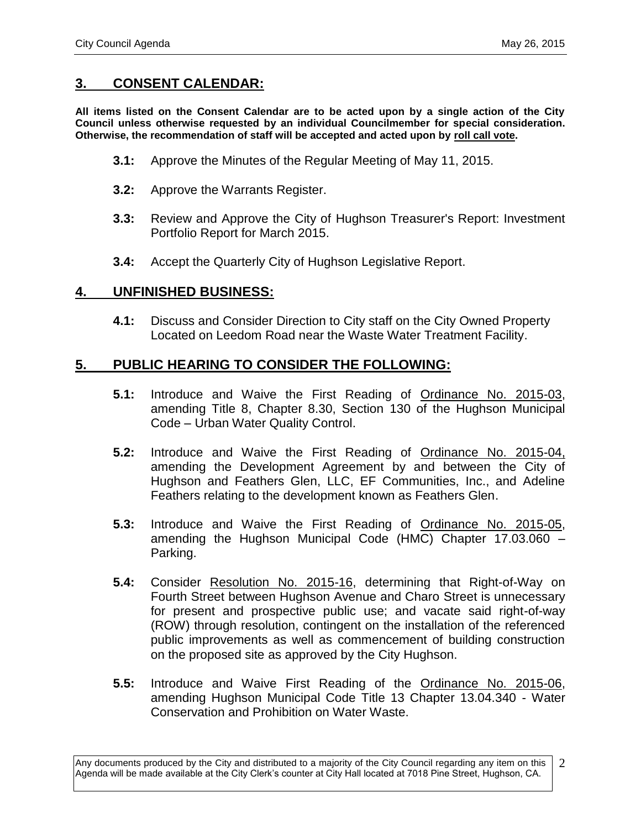# **3. CONSENT CALENDAR:**

**All items listed on the Consent Calendar are to be acted upon by a single action of the City Council unless otherwise requested by an individual Councilmember for special consideration. Otherwise, the recommendation of staff will be accepted and acted upon by roll call vote.**

- **3.1:** Approve the Minutes of the Regular Meeting of May 11, 2015.
- **3.2:** Approve the Warrants Register.
- **3.3:** Review and Approve the City of Hughson Treasurer's Report: Investment Portfolio Report for March 2015.
- **3.4:** Accept the Quarterly City of Hughson Legislative Report.

#### **4. UNFINISHED BUSINESS:**

**4.1:** Discuss and Consider Direction to City staff on the City Owned Property Located on Leedom Road near the Waste Water Treatment Facility.

## **5. PUBLIC HEARING TO CONSIDER THE FOLLOWING:**

- **5.1:** Introduce and Waive the First Reading of Ordinance No. 2015-03, amending Title 8, Chapter 8.30, Section 130 of the Hughson Municipal Code – Urban Water Quality Control.
- **5.2:** Introduce and Waive the First Reading of Ordinance No. 2015-04, amending the Development Agreement by and between the City of Hughson and Feathers Glen, LLC, EF Communities, Inc., and Adeline Feathers relating to the development known as Feathers Glen.
- **5.3:** Introduce and Waive the First Reading of Ordinance No. 2015-05, amending the Hughson Municipal Code (HMC) Chapter 17.03.060 – Parking.
- **5.4:** Consider Resolution No. 2015-16, determining that Right-of-Way on Fourth Street between Hughson Avenue and Charo Street is unnecessary for present and prospective public use; and vacate said right-of-way (ROW) through resolution, contingent on the installation of the referenced public improvements as well as commencement of building construction on the proposed site as approved by the City Hughson.
- **5.5:** Introduce and Waive First Reading of the Ordinance No. 2015-06, amending Hughson Municipal Code Title 13 Chapter 13.04.340 - Water Conservation and Prohibition on Water Waste.

Any documents produced by the City and distributed to a majority of the City Council regarding any item on this Agenda will be made available at the City Clerk's counter at City Hall located at 7018 Pine Street, Hughson, CA. 2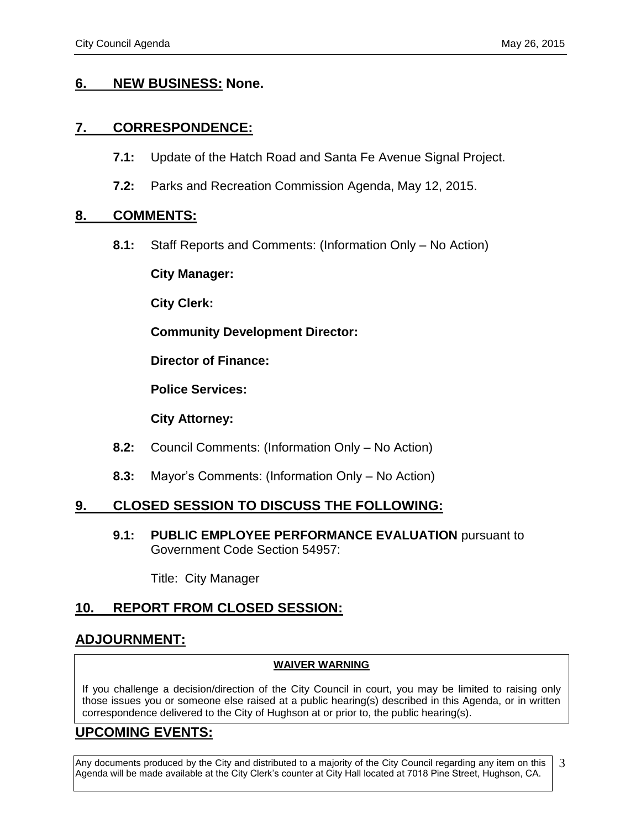## **6. NEW BUSINESS: None.**

## **7. CORRESPONDENCE:**

- **7.1:** Update of the Hatch Road and Santa Fe Avenue Signal Project.
- **7.2:** Parks and Recreation Commission Agenda, May 12, 2015.

#### **8. COMMENTS:**

**8.1:** Staff Reports and Comments: (Information Only – No Action)

**City Manager:** 

**City Clerk:**

**Community Development Director:**

**Director of Finance:**

**Police Services:**

**City Attorney:**

- **8.2:** Council Comments: (Information Only No Action)
- **8.3:** Mayor's Comments: (Information Only No Action)

# **9. CLOSED SESSION TO DISCUSS THE FOLLOWING:**

**9.1: PUBLIC EMPLOYEE PERFORMANCE EVALUATION** pursuant to Government Code Section 54957:

Title: City Manager

# **10. REPORT FROM CLOSED SESSION:**

# **ADJOURNMENT:**

#### **WAIVER WARNING**

If you challenge a decision/direction of the City Council in court, you may be limited to raising only those issues you or someone else raised at a public hearing(s) described in this Agenda, or in written correspondence delivered to the City of Hughson at or prior to, the public hearing(s).

# **UPCOMING EVENTS:**

Any documents produced by the City and distributed to a majority of the City Council regarding any item on this Agenda will be made available at the City Clerk's counter at City Hall located at 7018 Pine Street, Hughson, CA. 3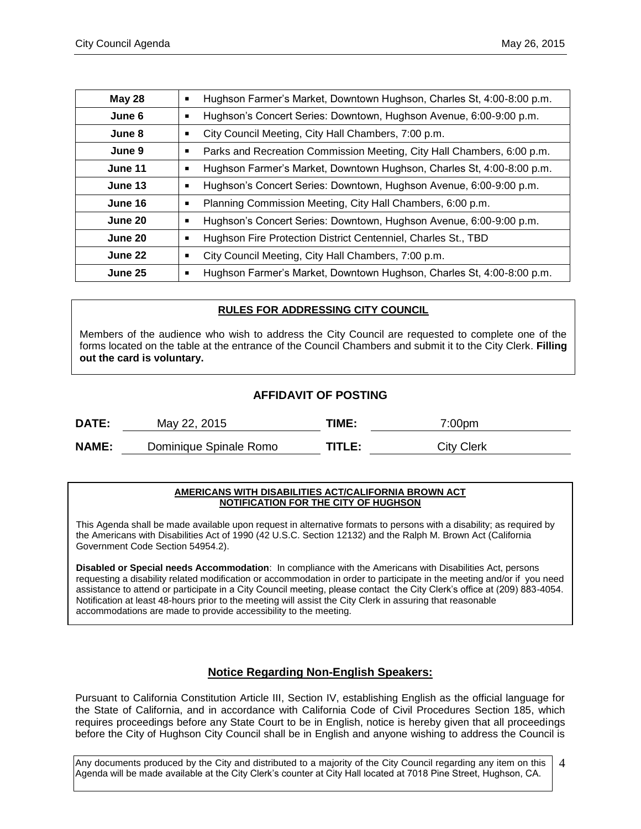| <b>May 28</b> | Hughson Farmer's Market, Downtown Hughson, Charles St, 4:00-8:00 p.m.<br>$\blacksquare$ |  |  |
|---------------|-----------------------------------------------------------------------------------------|--|--|
| June 6        | Hughson's Concert Series: Downtown, Hughson Avenue, 6:00-9:00 p.m.                      |  |  |
| June 8        | City Council Meeting, City Hall Chambers, 7:00 p.m.                                     |  |  |
| June 9        | Parks and Recreation Commission Meeting, City Hall Chambers, 6:00 p.m.<br>٠             |  |  |
| June 11       | Hughson Farmer's Market, Downtown Hughson, Charles St, 4:00-8:00 p.m.                   |  |  |
| June 13       | Hughson's Concert Series: Downtown, Hughson Avenue, 6:00-9:00 p.m.<br>п                 |  |  |
| June 16       | Planning Commission Meeting, City Hall Chambers, 6:00 p.m.                              |  |  |
| June 20       | Hughson's Concert Series: Downtown, Hughson Avenue, 6:00-9:00 p.m.                      |  |  |
| June 20       | Hughson Fire Protection District Centenniel, Charles St., TBD<br>п                      |  |  |
| June 22       | City Council Meeting, City Hall Chambers, 7:00 p.m.                                     |  |  |
| June 25       | Hughson Farmer's Market, Downtown Hughson, Charles St, 4:00-8:00 p.m.                   |  |  |

#### **RULES FOR ADDRESSING CITY COUNCIL**

Members of the audience who wish to address the City Council are requested to complete one of the forms located on the table at the entrance of the Council Chambers and submit it to the City Clerk. **Filling out the card is voluntary.**

#### **AFFIDAVIT OF POSTING**

| <b>DATE:</b> | May 22, 2015           | TIME:   | 00pm?      |
|--------------|------------------------|---------|------------|
| <b>NAME:</b> | Dominique Spinale Romo | TITI F. | City Clerk |

#### **AMERICANS WITH DISABILITIES ACT/CALIFORNIA BROWN ACT NOTIFICATION FOR THE CITY OF HUGHSON**

This Agenda shall be made available upon request in alternative formats to persons with a disability; as required by the Americans with Disabilities Act of 1990 (42 U.S.C. Section 12132) and the Ralph M. Brown Act (California Government Code Section 54954.2).

**Disabled or Special needs Accommodation**: In compliance with the Americans with Disabilities Act, persons requesting a disability related modification or accommodation in order to participate in the meeting and/or if you need assistance to attend or participate in a City Council meeting, please contact the City Clerk's office at (209) 883-4054. Notification at least 48-hours prior to the meeting will assist the City Clerk in assuring that reasonable accommodations are made to provide accessibility to the meeting.

#### **Notice Regarding Non-English Speakers:**

Pursuant to California Constitution Article III, Section IV, establishing English as the official language for the State of California, and in accordance with California Code of Civil Procedures Section 185, which requires proceedings before any State Court to be in English, notice is hereby given that all proceedings before the City of Hughson City Council shall be in English and anyone wishing to address the Council is

Any documents produced by the City and distributed to a majority of the City Council regarding any item on this Agenda will be made available at the City Clerk's counter at City Hall located at 7018 Pine Street, Hughson, CA. 4